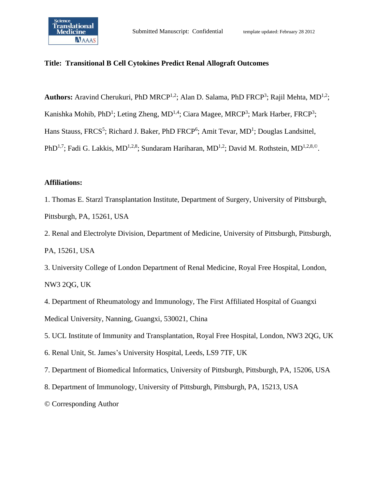

# **Title: Transitional B Cell Cytokines Predict Renal Allograft Outcomes**

Authors: Aravind Cherukuri, PhD MRCP<sup>1,2</sup>; Alan D. Salama, PhD FRCP<sup>3</sup>; Rajil Mehta, MD<sup>1,2</sup>; Kanishka Mohib, PhD<sup>1</sup>; Leting Zheng, MD<sup>1,4</sup>; Ciara Magee, MRCP<sup>3</sup>; Mark Harber, FRCP<sup>3</sup>; Hans Stauss, FRCS<sup>5</sup>; Richard J. Baker, PhD FRCP<sup>6</sup>; Amit Tevar, MD<sup>1</sup>; Douglas Landsittel, PhD<sup>1,7</sup>; Fadi G. Lakkis, MD<sup>1,2,8</sup>; Sundaram Hariharan, MD<sup>1,2</sup>; David M. Rothstein, MD<sup>1,2,8,©</sup>.

## **Affiliations:**

1. Thomas E. Starzl Transplantation Institute, Department of Surgery, University of Pittsburgh, Pittsburgh, PA, 15261, USA

2. Renal and Electrolyte Division, Department of Medicine, University of Pittsburgh, Pittsburgh, PA, 15261, USA

3. University College of London Department of Renal Medicine, Royal Free Hospital, London, NW3 2QG, UK

4. Department of Rheumatology and Immunology, The First Affiliated Hospital of Guangxi Medical University, Nanning, Guangxi, 530021, China

5. UCL Institute of Immunity and Transplantation, Royal Free Hospital, London, NW3 2QG, UK

6. Renal Unit, St. James's University Hospital, Leeds, LS9 7TF, UK

7. Department of Biomedical Informatics, University of Pittsburgh, Pittsburgh, PA, 15206, USA

8. Department of Immunology, University of Pittsburgh, Pittsburgh, PA, 15213, USA

© Corresponding Author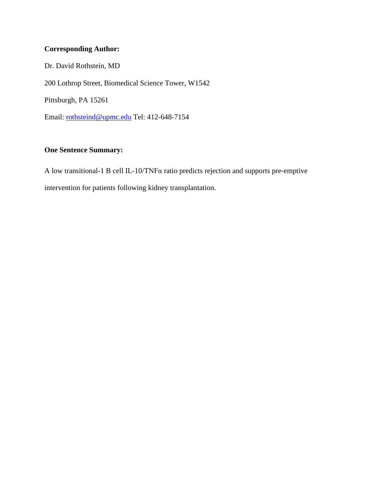# **Corresponding Author:**

Dr. David Rothstein, MD 200 Lothrop Street, Biomedical Science Tower, W1542 Pittsburgh, PA 15261 Email: [rothsteind@upmc.edu](mailto:rothsteind@upmc.edu) Tel: 412-648-7154

# **One Sentence Summary:**

A low transitional-1 B cell IL-10/TNFα ratio predicts rejection and supports pre-emptive intervention for patients following kidney transplantation.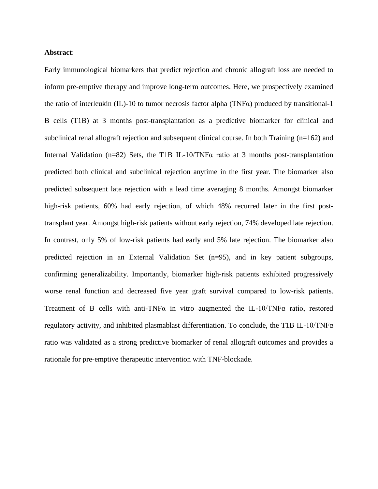#### **Abstract**:

Early immunological biomarkers that predict rejection and chronic allograft loss are needed to inform pre-emptive therapy and improve long-term outcomes. Here, we prospectively examined the ratio of interleukin (IL)-10 to tumor necrosis factor alpha (TNFα) produced by transitional-1 B cells (T1B) at 3 months post-transplantation as a predictive biomarker for clinical and subclinical renal allograft rejection and subsequent clinical course. In both Training (n=162) and Internal Validation (n=82) Sets, the T1B IL-10/TNF $\alpha$  ratio at 3 months post-transplantation predicted both clinical and subclinical rejection anytime in the first year. The biomarker also predicted subsequent late rejection with a lead time averaging 8 months. Amongst biomarker high-risk patients, 60% had early rejection, of which 48% recurred later in the first posttransplant year. Amongst high-risk patients without early rejection, 74% developed late rejection. In contrast, only 5% of low-risk patients had early and 5% late rejection. The biomarker also predicted rejection in an External Validation Set (n=95), and in key patient subgroups, confirming generalizability. Importantly, biomarker high-risk patients exhibited progressively worse renal function and decreased five year graft survival compared to low-risk patients. Treatment of B cells with anti-TNFα in vitro augmented the IL-10/TNFα ratio, restored regulatory activity, and inhibited plasmablast differentiation. To conclude, the T1B IL-10/TNF $\alpha$ ratio was validated as a strong predictive biomarker of renal allograft outcomes and provides a rationale for pre-emptive therapeutic intervention with TNF-blockade.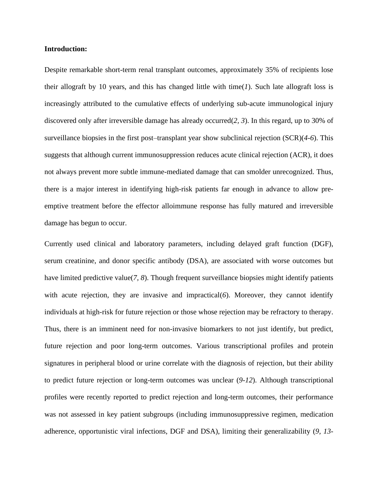#### **Introduction:**

Despite remarkable short-term renal transplant outcomes, approximately 35% of recipients lose their allograft by 10 years, and this has changed little with time(*1*). Such late allograft loss is increasingly attributed to the cumulative effects of underlying sub-acute immunological injury discovered only after irreversible damage has already occurred(*2, 3*). In this regard, up to 30% of surveillance biopsies in the first post–transplant year show subclinical rejection (SCR)(*4-6*). This suggests that although current immunosuppression reduces acute clinical rejection (ACR), it does not always prevent more subtle immune-mediated damage that can smolder unrecognized. Thus, there is a major interest in identifying high-risk patients far enough in advance to allow preemptive treatment before the effector alloimmune response has fully matured and irreversible damage has begun to occur.

Currently used clinical and laboratory parameters, including delayed graft function (DGF), serum creatinine, and donor specific antibody (DSA), are associated with worse outcomes but have limited predictive value(*7, 8*). Though frequent surveillance biopsies might identify patients with acute rejection, they are invasive and impractical(6). Moreover, they cannot identify individuals at high-risk for future rejection or those whose rejection may be refractory to therapy. Thus, there is an imminent need for non-invasive biomarkers to not just identify, but predict, future rejection and poor long-term outcomes. Various transcriptional profiles and protein signatures in peripheral blood or urine correlate with the diagnosis of rejection, but their ability to predict future rejection or long-term outcomes was unclear (*9-12*). Although transcriptional profiles were recently reported to predict rejection and long-term outcomes, their performance was not assessed in key patient subgroups (including immunosuppressive regimen, medication adherence, opportunistic viral infections, DGF and DSA), limiting their generalizability (*9, 13-*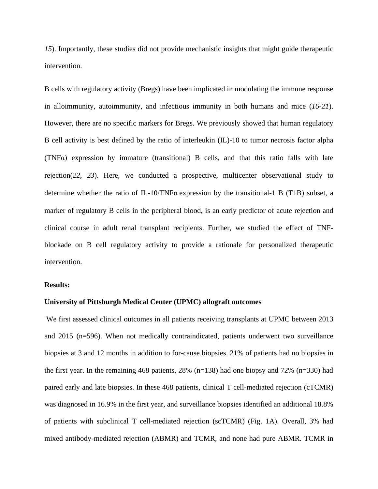*15*). Importantly, these studies did not provide mechanistic insights that might guide therapeutic intervention.

B cells with regulatory activity (Bregs) have been implicated in modulating the immune response in alloimmunity, autoimmunity, and infectious immunity in both humans and mice (*16-21*). However, there are no specific markers for Bregs. We previously showed that human regulatory B cell activity is best defined by the ratio of interleukin (IL)-10 to tumor necrosis factor alpha (TNF $\alpha$ ) expression by immature (transitional) B cells, and that this ratio falls with late rejection(*22, 23*). Here, we conducted a prospective, multicenter observational study to determine whether the ratio of IL-10/TNF $\alpha$  expression by the transitional-1 B (T1B) subset, a marker of regulatory B cells in the peripheral blood, is an early predictor of acute rejection and clinical course in adult renal transplant recipients. Further, we studied the effect of TNFblockade on B cell regulatory activity to provide a rationale for personalized therapeutic intervention.

#### **Results:**

# **University of Pittsburgh Medical Center (UPMC) allograft outcomes**

We first assessed clinical outcomes in all patients receiving transplants at UPMC between 2013 and 2015 (n=596). When not medically contraindicated, patients underwent two surveillance biopsies at 3 and 12 months in addition to for-cause biopsies. 21% of patients had no biopsies in the first year. In the remaining 468 patients,  $28\%$  (n=138) had one biopsy and 72% (n=330) had paired early and late biopsies. In these 468 patients, clinical T cell-mediated rejection (cTCMR) was diagnosed in 16.9% in the first year, and surveillance biopsies identified an additional 18.8% of patients with subclinical T cell-mediated rejection (scTCMR) (Fig. 1A). Overall, 3% had mixed antibody-mediated rejection (ABMR) and TCMR, and none had pure ABMR. TCMR in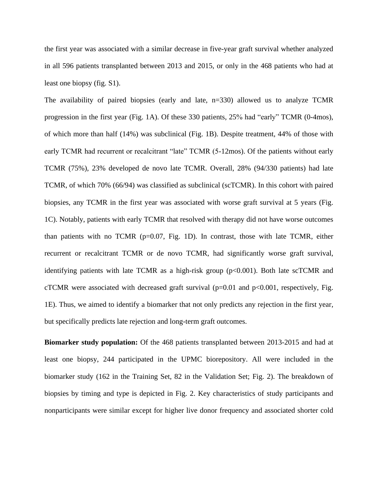the first year was associated with a similar decrease in five-year graft survival whether analyzed in all 596 patients transplanted between 2013 and 2015, or only in the 468 patients who had at least one biopsy (fig. S1).

The availability of paired biopsies (early and late, n=330) allowed us to analyze TCMR progression in the first year (Fig. 1A). Of these 330 patients, 25% had "early" TCMR (0-4mos), of which more than half (14%) was subclinical (Fig. 1B). Despite treatment, 44% of those with early TCMR had recurrent or recalcitrant "late" TCMR (5-12mos). Of the patients without early TCMR (75%), 23% developed de novo late TCMR. Overall, 28% (94/330 patients) had late TCMR, of which 70% (66/94) was classified as subclinical (scTCMR). In this cohort with paired biopsies, any TCMR in the first year was associated with worse graft survival at 5 years (Fig. 1C). Notably, patients with early TCMR that resolved with therapy did not have worse outcomes than patients with no TCMR ( $p=0.07$ , Fig. 1D). In contrast, those with late TCMR, either recurrent or recalcitrant TCMR or de novo TCMR, had significantly worse graft survival, identifying patients with late TCMR as a high-risk group (p<0.001). Both late scTCMR and cTCMR were associated with decreased graft survival ( $p=0.01$  and  $p<0.001$ , respectively, Fig. 1E). Thus, we aimed to identify a biomarker that not only predicts any rejection in the first year, but specifically predicts late rejection and long-term graft outcomes.

**Biomarker study population:** Of the 468 patients transplanted between 2013-2015 and had at least one biopsy, 244 participated in the UPMC biorepository. All were included in the biomarker study (162 in the Training Set, 82 in the Validation Set; Fig. 2). The breakdown of biopsies by timing and type is depicted in Fig. 2. Key characteristics of study participants and nonparticipants were similar except for higher live donor frequency and associated shorter cold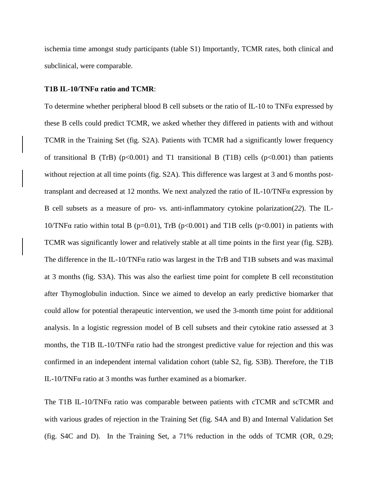ischemia time amongst study participants (table S1) Importantly, TCMR rates, both clinical and subclinical, were comparable.

#### **T1B IL-10/TNFα ratio and TCMR**:

To determine whether peripheral blood B cell subsets or the ratio of IL-10 to TNF $\alpha$  expressed by these B cells could predict TCMR, we asked whether they differed in patients with and without TCMR in the Training Set (fig. S2A). Patients with TCMR had a significantly lower frequency of transitional B (TrB) ( $p<0.001$ ) and T1 transitional B (T1B) cells ( $p<0.001$ ) than patients without rejection at all time points (fig. S2A). This difference was largest at 3 and 6 months posttransplant and decreased at 12 months. We next analyzed the ratio of IL-10/TNFα expression by B cell subsets as a measure of pro- vs. anti-inflammatory cytokine polarization(*22*). The IL-10/TNFα ratio within total B (p=0.01), TrB (p<0.001) and T1B cells (p<0.001) in patients with TCMR was significantly lower and relatively stable at all time points in the first year (fig. S2B). The difference in the IL-10/TNF $\alpha$  ratio was largest in the TrB and T1B subsets and was maximal at 3 months (fig. S3A). This was also the earliest time point for complete B cell reconstitution after Thymoglobulin induction. Since we aimed to develop an early predictive biomarker that could allow for potential therapeutic intervention, we used the 3-month time point for additional analysis. In a logistic regression model of B cell subsets and their cytokine ratio assessed at 3 months, the T1B IL-10/TNFα ratio had the strongest predictive value for rejection and this was confirmed in an independent internal validation cohort (table S2, fig. S3B). Therefore, the T1B IL-10/TNFα ratio at 3 months was further examined as a biomarker.

The T1B IL-10/TNF $\alpha$  ratio was comparable between patients with cTCMR and scTCMR and with various grades of rejection in the Training Set (fig. S4A and B) and Internal Validation Set (fig. S4C and D). In the Training Set, a 71% reduction in the odds of TCMR (OR, 0.29;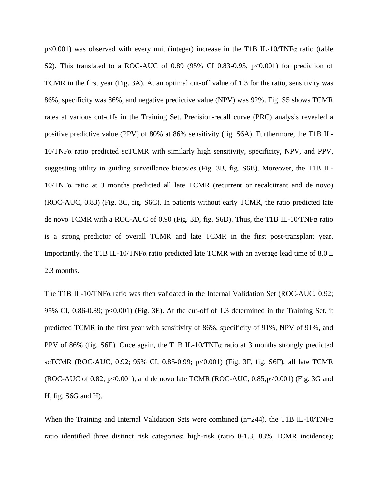p<0.001) was observed with every unit (integer) increase in the T1B IL-10/TNFα ratio (table S2). This translated to a ROC-AUC of 0.89 (95% CI 0.83-0.95,  $p<0.001$ ) for prediction of TCMR in the first year (Fig. 3A). At an optimal cut-off value of 1.3 for the ratio, sensitivity was 86%, specificity was 86%, and negative predictive value (NPV) was 92%. Fig. S5 shows TCMR rates at various cut-offs in the Training Set. Precision-recall curve (PRC) analysis revealed a positive predictive value (PPV) of 80% at 86% sensitivity (fig. S6A). Furthermore, the T1B IL-10/TNFα ratio predicted scTCMR with similarly high sensitivity, specificity, NPV, and PPV, suggesting utility in guiding surveillance biopsies (Fig. 3B, fig. S6B). Moreover, the T1B IL-10/TNFα ratio at 3 months predicted all late TCMR (recurrent or recalcitrant and de novo) (ROC-AUC, 0.83) (Fig. 3C, fig. S6C). In patients without early TCMR, the ratio predicted late de novo TCMR with a ROC-AUC of 0.90 (Fig. 3D, fig. S6D). Thus, the T1B IL-10/TNFα ratio is a strong predictor of overall TCMR and late TCMR in the first post-transplant year. Importantly, the T1B IL-10/TNF $\alpha$  ratio predicted late TCMR with an average lead time of 8.0  $\pm$ 2.3 months.

The T1B IL-10/TNFα ratio was then validated in the Internal Validation Set (ROC-AUC, 0.92; 95% CI, 0.86-0.89; p<0.001) (Fig. 3E). At the cut-off of 1.3 determined in the Training Set, it predicted TCMR in the first year with sensitivity of 86%, specificity of 91%, NPV of 91%, and PPV of 86% (fig. S6E). Once again, the T1B IL-10/TNFα ratio at 3 months strongly predicted scTCMR (ROC-AUC, 0.92; 95% CI, 0.85-0.99; p<0.001) (Fig. 3F, fig. S6F), all late TCMR (ROC-AUC of 0.82;  $p<0.001$ ), and de novo late TCMR (ROC-AUC, 0.85; $p<0.001$ ) (Fig. 3G and H, fig. S6G and H).

When the Training and Internal Validation Sets were combined (n=244), the T1B IL-10/TNF $\alpha$ ratio identified three distinct risk categories: high-risk (ratio 0-1.3; 83% TCMR incidence);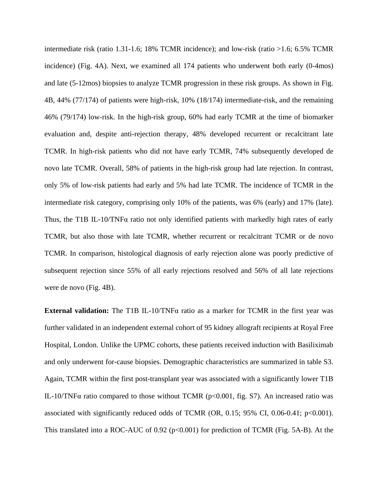intermediate risk (ratio 1.31-1.6; 18% TCMR incidence); and low-risk (ratio >1.6; 6.5% TCMR incidence) (Fig. 4A). Next, we examined all 174 patients who underwent both early (0-4mos) and late (5-12mos) biopsies to analyze TCMR progression in these risk groups. As shown in Fig. 4B, 44% (77/174) of patients were high-risk, 10% (18/174) intermediate-risk, and the remaining 46% (79/174) low-risk. In the high-risk group, 60% had early TCMR at the time of biomarker evaluation and, despite anti-rejection therapy, 48% developed recurrent or recalcitrant late TCMR. In high-risk patients who did not have early TCMR, 74% subsequently developed de novo late TCMR. Overall, 58% of patients in the high-risk group had late rejection. In contrast, only 5% of low-risk patients had early and 5% had late TCMR. The incidence of TCMR in the intermediate risk category, comprising only 10% of the patients, was 6% (early) and 17% (late). Thus, the T1B IL-10/TNFα ratio not only identified patients with markedly high rates of early TCMR, but also those with late TCMR, whether recurrent or recalcitrant TCMR or de novo TCMR. In comparison, histological diagnosis of early rejection alone was poorly predictive of subsequent rejection since 55% of all early rejections resolved and 56% of all late rejections were de novo (Fig. 4B).

**External validation:** The T1B IL-10/TNFα ratio as a marker for TCMR in the first year was further validated in an independent external cohort of 95 kidney allograft recipients at Royal Free Hospital, London. Unlike the UPMC cohorts, these patients received induction with Basiliximab and only underwent for-cause biopsies. Demographic characteristics are summarized in table S3. Again, TCMR within the first post-transplant year was associated with a significantly lower T1B IL-10/TNF $\alpha$  ratio compared to those without TCMR (p<0.001, fig. S7). An increased ratio was associated with significantly reduced odds of TCMR (OR, 0.15; 95% CI, 0.06-0.41;  $p<0.001$ ). This translated into a ROC-AUC of  $0.92$  ( $p<0.001$ ) for prediction of TCMR (Fig. 5A-B). At the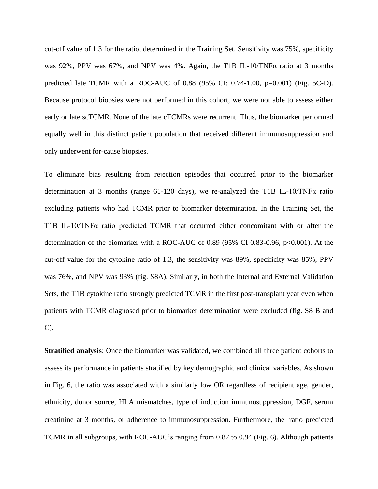cut-off value of 1.3 for the ratio, determined in the Training Set, Sensitivity was 75%, specificity was 92%, PPV was 67%, and NPV was 4%. Again, the T1B IL-10/TNFα ratio at 3 months predicted late TCMR with a ROC-AUC of 0.88 (95% CI: 0.74-1.00, p=0.001) (Fig. 5C-D). Because protocol biopsies were not performed in this cohort, we were not able to assess either early or late scTCMR. None of the late cTCMRs were recurrent. Thus, the biomarker performed equally well in this distinct patient population that received different immunosuppression and only underwent for-cause biopsies.

To eliminate bias resulting from rejection episodes that occurred prior to the biomarker determination at 3 months (range 61-120 days), we re-analyzed the T1B IL-10/TNFα ratio excluding patients who had TCMR prior to biomarker determination. In the Training Set, the T1B IL-10/TNFα ratio predicted TCMR that occurred either concomitant with or after the determination of the biomarker with a ROC-AUC of 0.89 (95% CI 0.83-0.96, p<0.001). At the cut-off value for the cytokine ratio of 1.3, the sensitivity was 89%, specificity was 85%, PPV was 76%, and NPV was 93% (fig. S8A). Similarly, in both the Internal and External Validation Sets, the T1B cytokine ratio strongly predicted TCMR in the first post-transplant year even when patients with TCMR diagnosed prior to biomarker determination were excluded (fig. S8 B and C).

**Stratified analysis**: Once the biomarker was validated, we combined all three patient cohorts to assess its performance in patients stratified by key demographic and clinical variables. As shown in Fig. 6, the ratio was associated with a similarly low OR regardless of recipient age, gender, ethnicity, donor source, HLA mismatches, type of induction immunosuppression, DGF, serum creatinine at 3 months, or adherence to immunosuppression. Furthermore, the ratio predicted TCMR in all subgroups, with ROC-AUC's ranging from 0.87 to 0.94 (Fig. 6). Although patients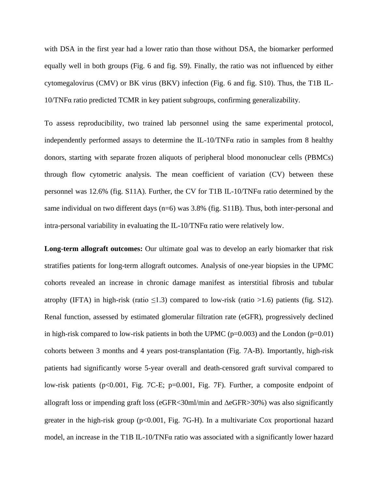with DSA in the first year had a lower ratio than those without DSA, the biomarker performed equally well in both groups (Fig. 6 and fig. S9). Finally, the ratio was not influenced by either cytomegalovirus (CMV) or BK virus (BKV) infection (Fig. 6 and fig. S10). Thus, the T1B IL-10/TNFα ratio predicted TCMR in key patient subgroups, confirming generalizability.

To assess reproducibility, two trained lab personnel using the same experimental protocol, independently performed assays to determine the IL-10/TNF $\alpha$  ratio in samples from 8 healthy donors, starting with separate frozen aliquots of peripheral blood mononuclear cells (PBMCs) through flow cytometric analysis. The mean coefficient of variation (CV) between these personnel was 12.6% (fig. S11A). Further, the CV for T1B IL-10/TNFα ratio determined by the same individual on two different days (n=6) was 3.8% (fig. S11B). Thus, both inter-personal and intra-personal variability in evaluating the IL-10/TNFα ratio were relatively low.

**Long-term allograft outcomes:** Our ultimate goal was to develop an early biomarker that risk stratifies patients for long-term allograft outcomes. Analysis of one-year biopsies in the UPMC cohorts revealed an increase in chronic damage manifest as interstitial fibrosis and tubular atrophy (IFTA) in high-risk (ratio  $\leq$ 1.3) compared to low-risk (ratio  $>$ 1.6) patients (fig. S12). Renal function, assessed by estimated glomerular filtration rate (eGFR), progressively declined in high-risk compared to low-risk patients in both the UPMC ( $p=0.003$ ) and the London ( $p=0.01$ ) cohorts between 3 months and 4 years post-transplantation (Fig. 7A-B). Importantly, high-risk patients had significantly worse 5-year overall and death-censored graft survival compared to low-risk patients (p<0.001, Fig. 7C-E; p=0.001, Fig. 7F). Further, a composite endpoint of allograft loss or impending graft loss ( $eGFR < 30$ ml/min and  $\Delta eGFR > 30$ %) was also significantly greater in the high-risk group (p<0.001, Fig. 7G-H). In a multivariate Cox proportional hazard model, an increase in the T1B IL-10/TNFα ratio was associated with a significantly lower hazard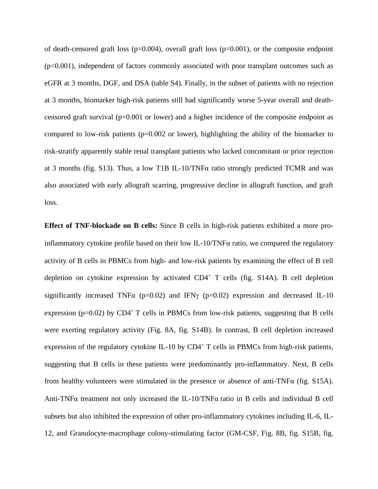of death-censored graft loss (p=0.004), overall graft loss (p=0.001), or the composite endpoint  $(p<0.001)$ , independent of factors commonly associated with poor transplant outcomes such as eGFR at 3 months, DGF, and DSA (table S4). Finally, in the subset of patients with no rejection at 3 months, biomarker high-risk patients still had significantly worse 5-year overall and deathcensored graft survival (p=0.001 or lower) and a higher incidence of the composite endpoint as compared to low-risk patients (p=0.002 or lower), highlighting the ability of the biomarker to risk-stratify apparently stable renal transplant patients who lacked concomitant or prior rejection at 3 months (fig. S13). Thus, a low T1B IL-10/TNF $\alpha$  ratio strongly predicted TCMR and was also associated with early allograft scarring, progressive decline in allograft function, and graft loss.

**Effect of TNF-blockade on B cells:** Since B cells in high-risk patients exhibited a more proinflammatory cytokine profile based on their low IL-10/TNF $\alpha$  ratio, we compared the regulatory activity of B cells in PBMCs from high- and low-risk patients by examining the effect of B cell depletion on cytokine expression by activated  $CD4^+$  T cells (fig. S14A). B cell depletion significantly increased TNF $\alpha$  (p=0.02) and IFN $\gamma$  (p=0.02) expression and decreased IL-10 expression ( $p=0.02$ ) by CD4<sup>+</sup> T cells in PBMCs from low-risk patients, suggesting that B cells were exerting regulatory activity (Fig. 8A, fig. S14B). In contrast, B cell depletion increased expression of the regulatory cytokine IL-10 by  $CD4^+$  T cells in PBMCs from high-risk patients, suggesting that B cells in these patients were predominantly pro-inflammatory. Next, B cells from healthy volunteers were stimulated in the presence or absence of anti-TNF $\alpha$  (fig. S15A). Anti-TNFα treatment not only increased the IL-10/TNFα ratio in B cells and individual B cell subsets but also inhibited the expression of other pro-inflammatory cytokines including IL-6, IL-12, and Granulocyte-macrophage colony-stimulating factor (GM-CSF, Fig. 8B, fig. S15B, fig.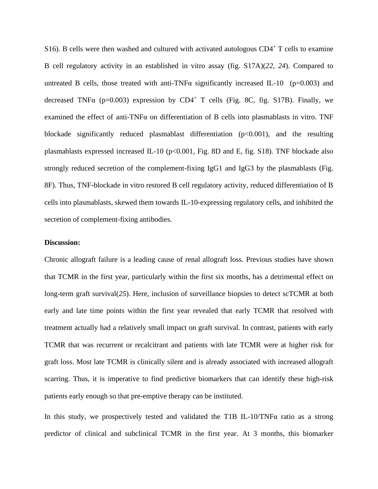S16). B cells were then washed and cultured with activated autologous CD4<sup>+</sup> T cells to examine B cell regulatory activity in an established in vitro assay (fig. S17A)(*22, 24*). Compared to untreated B cells, those treated with anti-TNF $\alpha$  significantly increased IL-10 (p=0.003) and decreased TNF $\alpha$  (p=0.003) expression by CD4<sup>+</sup> T cells (Fig. 8C, fig. S17B). Finally, we examined the effect of anti-TNF $\alpha$  on differentiation of B cells into plasmablasts in vitro. TNF blockade significantly reduced plasmablast differentiation  $(p<0.001)$ , and the resulting plasmablasts expressed increased IL-10 ( $p<0.001$ , Fig. 8D and E, fig. S18). TNF blockade also strongly reduced secretion of the complement-fixing IgG1 and IgG3 by the plasmablasts (Fig. 8F). Thus, TNF-blockade in vitro restored B cell regulatory activity, reduced differentiation of B cells into plasmablasts, skewed them towards IL-10-expressing regulatory cells, and inhibited the secretion of complement-fixing antibodies.

## **Discussion:**

Chronic allograft failure is a leading cause of renal allograft loss. Previous studies have shown that TCMR in the first year, particularly within the first six months, has a detrimental effect on long-term graft survival(25). Here, inclusion of surveillance biopsies to detect scTCMR at both early and late time points within the first year revealed that early TCMR that resolved with treatment actually had a relatively small impact on graft survival. In contrast, patients with early TCMR that was recurrent or recalcitrant and patients with late TCMR were at higher risk for graft loss. Most late TCMR is clinically silent and is already associated with increased allograft scarring. Thus, it is imperative to find predictive biomarkers that can identify these high-risk patients early enough so that pre-emptive therapy can be instituted.

In this study, we prospectively tested and validated the T1B IL-10/TNF $\alpha$  ratio as a strong predictor of clinical and subclinical TCMR in the first year. At 3 months, this biomarker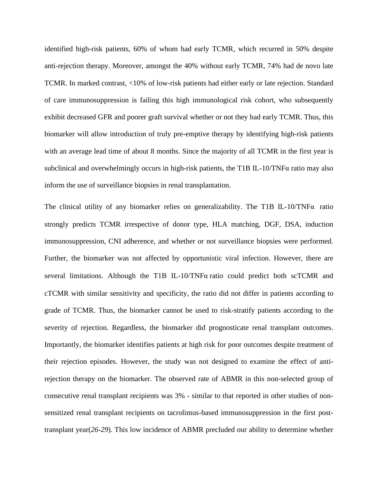identified high-risk patients, 60% of whom had early TCMR, which recurred in 50% despite anti-rejection therapy. Moreover, amongst the 40% without early TCMR, 74% had de novo late TCMR. In marked contrast, <10% of low-risk patients had either early or late rejection. Standard of care immunosuppression is failing this high immunological risk cohort, who subsequently exhibit decreased GFR and poorer graft survival whether or not they had early TCMR. Thus, this biomarker will allow introduction of truly pre-emptive therapy by identifying high-risk patients with an average lead time of about 8 months. Since the majority of all TCMR in the first year is subclinical and overwhelmingly occurs in high-risk patients, the T1B IL-10/TNFα ratio may also inform the use of surveillance biopsies in renal transplantation.

The clinical utility of any biomarker relies on generalizability. The T1B IL-10/TNFα ratio strongly predicts TCMR irrespective of donor type, HLA matching, DGF, DSA, induction immunosuppression, CNI adherence, and whether or not surveillance biopsies were performed. Further, the biomarker was not affected by opportunistic viral infection. However, there are several limitations. Although the T1B IL-10/TNFα ratio could predict both scTCMR and cTCMR with similar sensitivity and specificity, the ratio did not differ in patients according to grade of TCMR. Thus, the biomarker cannot be used to risk-stratify patients according to the severity of rejection. Regardless, the biomarker did prognosticate renal transplant outcomes. Importantly, the biomarker identifies patients at high risk for poor outcomes despite treatment of their rejection episodes. However, the study was not designed to examine the effect of antirejection therapy on the biomarker. The observed rate of ABMR in this non-selected group of consecutive renal transplant recipients was 3% - similar to that reported in other studies of nonsensitized renal transplant recipients on tacrolimus-based immunosuppression in the first posttransplant year(*26-29*). This low incidence of ABMR precluded our ability to determine whether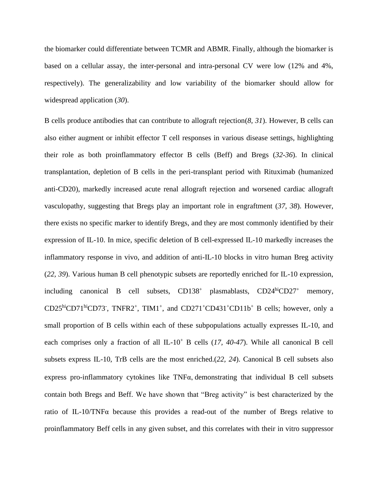the biomarker could differentiate between TCMR and ABMR. Finally, although the biomarker is based on a cellular assay, the inter-personal and intra-personal CV were low (12% and 4%, respectively). The generalizability and low variability of the biomarker should allow for widespread application (*30*).

B cells produce antibodies that can contribute to allograft rejection(*8, 31*). However, B cells can also either augment or inhibit effector T cell responses in various disease settings, highlighting their role as both proinflammatory effector B cells (Beff) and Bregs (*32-36*). In clinical transplantation, depletion of B cells in the peri-transplant period with Rituximab (humanized anti-CD20), markedly increased acute renal allograft rejection and worsened cardiac allograft vasculopathy, suggesting that Bregs play an important role in engraftment (*37, 38*). However, there exists no specific marker to identify Bregs, and they are most commonly identified by their expression of IL-10. In mice, specific deletion of B cell-expressed IL-10 markedly increases the inflammatory response in vivo, and addition of anti-IL-10 blocks in vitro human Breg activity (*22, 39*). Various human B cell phenotypic subsets are reportedly enriched for IL-10 expression, including canonical B cell subsets,  $CD138<sup>+</sup>$  plasmablasts,  $CD24<sup>hi</sup>CD27<sup>+</sup>$  memory, CD25<sup>hi</sup>CD71<sup>hi</sup>CD73<sup>-</sup>, TNFR2<sup>+</sup>, TIM1<sup>+</sup>, and CD271<sup>+</sup>CD431<sup>+</sup>CD11b<sup>+</sup> B cells; however, only a small proportion of B cells within each of these subpopulations actually expresses IL-10, and each comprises only a fraction of all IL-10<sup>+</sup> B cells (*17, 40-47*). While all canonical B cell subsets express IL-10, TrB cells are the most enriched.(*22, 24*). Canonical B cell subsets also express pro-inflammatory cytokines like TNFα demonstrating that individual B cell subsets contain both Bregs and Beff. We have shown that "Breg activity" is best characterized by the ratio of IL-10/TNFα because this provides a read-out of the number of Bregs relative to proinflammatory Beff cells in any given subset, and this correlates with their in vitro suppressor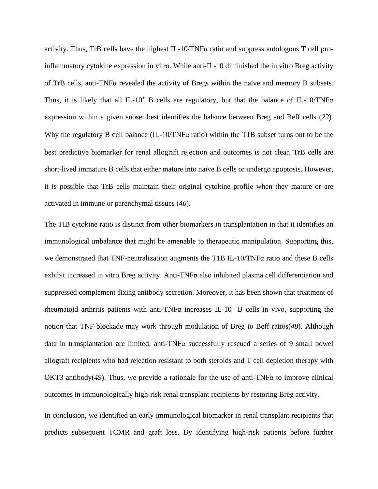activity. Thus, TrB cells have the highest IL-10/TNFα ratio and suppress autologous T cell proinflammatory cytokine expression in vitro. While anti-IL-10 diminished the in vitro Breg activity of TrB cells, anti-TNFα revealed the activity of Bregs within the naïve and memory B subsets. Thus, it is likely that all IL-10<sup>+</sup> B cells are regulatory, but that the balance of IL-10/TNF $\alpha$ expression within a given subset best identifies the balance between Breg and Beff cells (*22*). Why the regulatory B cell balance (IL-10/TNFα ratio) within the T1B subset turns out to be the best predictive biomarker for renal allograft rejection and outcomes is not clear. TrB cells are short-lived immature B cells that either mature into naive B cells or undergo apoptosis. However, it is possible that TrB cells maintain their original cytokine profile when they mature or are activated in immune or parenchymal tissues (*46*).

The TIB cytokine ratio is distinct from other biomarkers in transplantation in that it identifies an immunological imbalance that might be amenable to therapeutic manipulation. Supporting this, we demonstrated that TNF-neutralization augments the T1B IL-10/TNFα ratio and these B cells exhibit increased in vitro Breg activity. Anti-TNFα also inhibited plasma cell differentiation and suppressed complement-fixing antibody secretion. Moreover, it has been shown that treatment of rheumatoid arthritis patients with anti-TNF $\alpha$  increases IL-10<sup>+</sup> B cells in vivo, supporting the notion that TNF-blockade may work through modulation of Breg to Beff ratios(*48*). Although data in transplantation are limited, anti-TNFα successfully rescued a series of 9 small bowel allograft recipients who had rejection resistant to both steroids and T cell depletion therapy with OKT3 antibody(*49*). Thus, we provide a rationale for the use of anti-TNFα to improve clinical outcomes in immunologically high-risk renal transplant recipients by restoring Breg activity.

In conclusion, we identified an early immunological biomarker in renal transplant recipients that predicts subsequent TCMR and graft loss. By identifying high-risk patients before further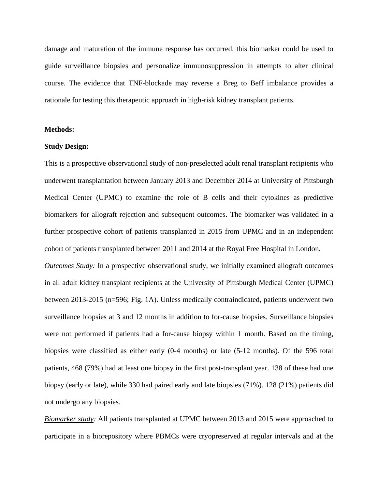damage and maturation of the immune response has occurred, this biomarker could be used to guide surveillance biopsies and personalize immunosuppression in attempts to alter clinical course. The evidence that TNF-blockade may reverse a Breg to Beff imbalance provides a rationale for testing this therapeutic approach in high-risk kidney transplant patients.

#### **Methods:**

#### **Study Design:**

This is a prospective observational study of non-preselected adult renal transplant recipients who underwent transplantation between January 2013 and December 2014 at University of Pittsburgh Medical Center (UPMC) to examine the role of B cells and their cytokines as predictive biomarkers for allograft rejection and subsequent outcomes. The biomarker was validated in a further prospective cohort of patients transplanted in 2015 from UPMC and in an independent cohort of patients transplanted between 2011 and 2014 at the Royal Free Hospital in London.

*Outcomes Study:* In a prospective observational study, we initially examined allograft outcomes in all adult kidney transplant recipients at the University of Pittsburgh Medical Center (UPMC) between 2013-2015 (n=596; Fig. 1A). Unless medically contraindicated, patients underwent two surveillance biopsies at 3 and 12 months in addition to for-cause biopsies. Surveillance biopsies were not performed if patients had a for-cause biopsy within 1 month. Based on the timing, biopsies were classified as either early (0-4 months) or late (5-12 months). Of the 596 total patients, 468 (79%) had at least one biopsy in the first post-transplant year. 138 of these had one biopsy (early or late), while 330 had paired early and late biopsies (71%). 128 (21%) patients did not undergo any biopsies.

*Biomarker study:* All patients transplanted at UPMC between 2013 and 2015 were approached to participate in a biorepository where PBMCs were cryopreserved at regular intervals and at the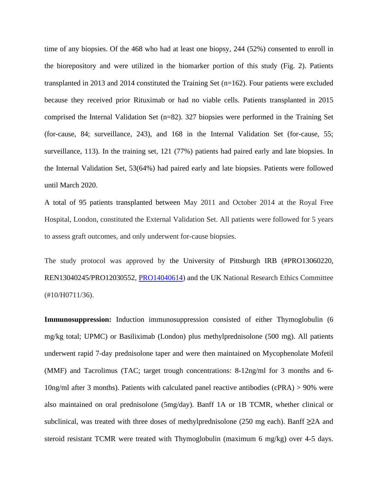time of any biopsies. Of the 468 who had at least one biopsy, 244 (52%) consented to enroll in the biorepository and were utilized in the biomarker portion of this study (Fig. 2). Patients transplanted in 2013 and 2014 constituted the Training Set (n=162). Four patients were excluded because they received prior Rituximab or had no viable cells. Patients transplanted in 2015 comprised the Internal Validation Set (n=82). 327 biopsies were performed in the Training Set (for-cause, 84; surveillance, 243), and 168 in the Internal Validation Set (for-cause, 55; surveillance, 113). In the training set, 121 (77%) patients had paired early and late biopsies. In the Internal Validation Set, 53(64%) had paired early and late biopsies. Patients were followed until March 2020.

A total of 95 patients transplanted between May 2011 and October 2014 at the Royal Free Hospital, London, constituted the External Validation Set. All patients were followed for 5 years to assess graft outcomes, and only underwent for-cause biopsies.

The study protocol was approved by the University of Pittsburgh IRB (#PRO13060220, REN13040245/PRO12030552, [PRO14040614\)](https://www.osiris.pitt.edu/osiris/Rooms/DisplayPages/LayoutInitial?Container=com.webridge.entity.Entity%5bOID%5b0DB9B9B14EFA1F40AC395F9729E19CAD%5d%5d) and the UK National Research Ethics Committee (#10/H0711/36).

**Immunosuppression:** Induction immunosuppression consisted of either Thymoglobulin (6 mg/kg total; UPMC) or Basiliximab (London) plus methylprednisolone (500 mg). All patients underwent rapid 7-day prednisolone taper and were then maintained on Mycophenolate Mofetil (MMF) and Tacrolimus (TAC; target trough concentrations: 8-12ng/ml for 3 months and 6- 10ng/ml after 3 months). Patients with calculated panel reactive antibodies (cPRA) > 90% were also maintained on oral prednisolone (5mg/day). Banff 1A or 1B TCMR, whether clinical or subclinical, was treated with three doses of methylprednisolone (250 mg each). Banff **≥**2A and steroid resistant TCMR were treated with Thymoglobulin (maximum 6 mg/kg) over 4-5 days.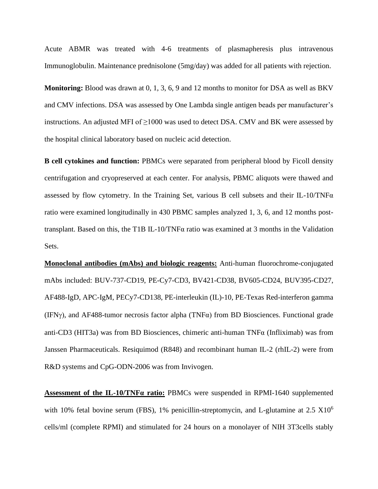Acute ABMR was treated with 4-6 treatments of plasmapheresis plus intravenous Immunoglobulin. Maintenance prednisolone (5mg/day) was added for all patients with rejection.

**Monitoring:** Blood was drawn at 0, 1, 3, 6, 9 and 12 months to monitor for DSA as well as BKV and CMV infections. DSA was assessed by One Lambda single antigen beads per manufacturer's instructions. An adjusted MFI of  $\geq$ 1000 was used to detect DSA. CMV and BK were assessed by the hospital clinical laboratory based on nucleic acid detection.

**B cell cytokines and function:** PBMCs were separated from peripheral blood by Ficoll density centrifugation and cryopreserved at each center. For analysis, PBMC aliquots were thawed and assessed by flow cytometry. In the Training Set, various B cell subsets and their IL-10/TNF $\alpha$ ratio were examined longitudinally in 430 PBMC samples analyzed 1, 3, 6, and 12 months posttransplant. Based on this, the T1B IL-10/TNFα ratio was examined at 3 months in the Validation Sets.

**Monoclonal antibodies (mAbs) and biologic reagents:** Anti-human fluorochrome-conjugated mAbs included: BUV-737-CD19, PE-Cy7-CD3, BV421-CD38, BV605-CD24, BUV395-CD27, AF488-IgD, APC-IgM, PECy7-CD138, PE-interleukin (IL)-10, PE-Texas Red-interferon gamma (IFN $\gamma$ ), and AF488-tumor necrosis factor alpha (TNF $\alpha$ ) from BD Biosciences. Functional grade anti-CD3 (HIT3a) was from BD Biosciences, chimeric anti-human TNFα (Infliximab) was from Janssen Pharmaceuticals. Resiquimod (R848) and recombinant human IL-2 (rhIL-2) were from R&D systems and CpG-ODN-2006 was from Invivogen.

**Assessment of the IL-10/TNFα ratio:** PBMCs were suspended in RPMI-1640 supplemented with 10% fetal bovine serum (FBS), 1% penicillin-streptomycin, and L-glutamine at 2.5 X10<sup>6</sup> cells/ml (complete RPMI) and stimulated for 24 hours on a monolayer of NIH 3T3cells stably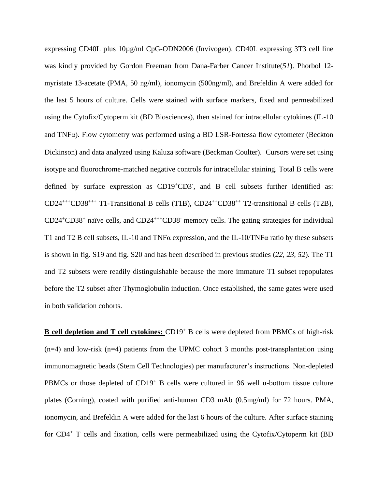expressing CD40L plus 10µg/ml CpG-ODN2006 (Invivogen). CD40L expressing 3T3 cell line was kindly provided by Gordon Freeman from Dana-Farber Cancer Institute(*51*). Phorbol 12 myristate 13-acetate (PMA, 50 ng/ml), ionomycin (500ng/ml), and Brefeldin A were added for the last 5 hours of culture. Cells were stained with surface markers, fixed and permeabilized using the Cytofix/Cytoperm kit (BD Biosciences), then stained for intracellular cytokines (IL-10 and TNFα). Flow cytometry was performed using a BD LSR-Fortessa flow cytometer (Beckton Dickinson) and data analyzed using Kaluza software (Beckman Coulter). Cursors were set using isotype and fluorochrome-matched negative controls for intracellular staining. Total B cells were defined by surface expression as CD19<sup>+</sup>CD3<sup>-</sup>, and B cell subsets further identified as: CD24+++CD38+++ T1-Transitional B cells (T1B), CD24++CD38++ T2-transitional B cells (T2B), CD24<sup>+</sup>CD38<sup>+</sup> naïve cells, and CD24<sup>+++</sup>CD38<sup>-</sup> memory cells. The gating strategies for individual T1 and T2 B cell subsets, IL-10 and TNFα expression, and the IL-10/TNFα ratio by these subsets is shown in fig. S19 and fig. S20 and has been described in previous studies (*22, 23, 52*). The T1 and T2 subsets were readily distinguishable because the more immature T1 subset repopulates before the T2 subset after Thymoglobulin induction. Once established, the same gates were used in both validation cohorts.

**B cell depletion and T cell cytokines:** CD19<sup>+</sup> B cells were depleted from PBMCs of high-risk (n=4) and low-risk (n=4) patients from the UPMC cohort 3 months post-transplantation using immunomagnetic beads (Stem Cell Technologies) per manufacturer's instructions. Non-depleted PBMCs or those depleted of CD19<sup>+</sup> B cells were cultured in 96 well u-bottom tissue culture plates (Corning), coated with purified anti-human CD3 mAb (0.5mg/ml) for 72 hours. PMA, ionomycin, and Brefeldin A were added for the last 6 hours of the culture. After surface staining for CD4<sup>+</sup> T cells and fixation, cells were permeabilized using the Cytofix/Cytoperm kit (BD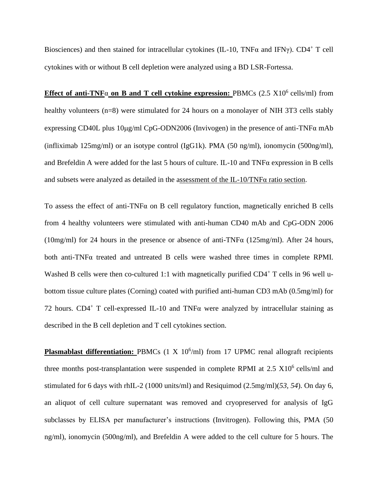Biosciences) and then stained for intracellular cytokines (IL-10, TNF $\alpha$  and IFN $\gamma$ ). CD4<sup>+</sup> T cell cytokines with or without B cell depletion were analyzed using a BD LSR-Fortessa.

**Effect of anti-TNF** $\alpha$  **on B and T cell cytokine expression:** PBMCs (2.5 X10<sup>6</sup> cells/ml) from healthy volunteers (n=8) were stimulated for 24 hours on a monolayer of NIH 3T3 cells stably expressing CD40L plus  $10\mu\text{g/ml}$  CpG-ODN2006 (Invivogen) in the presence of anti-TNF $\alpha$  mAb (infliximab 125mg/ml) or an isotype control (IgG1k). PMA (50 ng/ml), ionomycin (500ng/ml), and Brefeldin A were added for the last 5 hours of culture. IL-10 and TNFα expression in B cells and subsets were analyzed as detailed in the assessment of the IL-10/TNFα ratio section.

To assess the effect of anti-TNF $\alpha$  on B cell regulatory function, magnetically enriched B cells from 4 healthy volunteers were stimulated with anti-human CD40 mAb and CpG-ODN 2006 (10mg/ml) for 24 hours in the presence or absence of anti-TNF $\alpha$  (125mg/ml). After 24 hours, both anti-TNF $\alpha$  treated and untreated B cells were washed three times in complete RPMI. Washed B cells were then co-cultured 1:1 with magnetically purified CD4<sup>+</sup> T cells in 96 well ubottom tissue culture plates (Corning) coated with purified anti-human CD3 mAb (0.5mg/ml) for 72 hours. CD4<sup>+</sup> T cell-expressed IL-10 and TNF $\alpha$  were analyzed by intracellular staining as described in the B cell depletion and T cell cytokines section.

Plasmablast differentiation: PBMCs (1 X 10<sup>6</sup>/ml) from 17 UPMC renal allograft recipients three months post-transplantation were suspended in complete RPMI at  $2.5 \text{ X}10^6$  cells/ml and stimulated for 6 days with rhIL-2 (1000 units/ml) and Resiquimod (2.5mg/ml)(*53, 54*). On day 6, an aliquot of cell culture supernatant was removed and cryopreserved for analysis of IgG subclasses by ELISA per manufacturer's instructions (Invitrogen). Following this, PMA (50 ng/ml), ionomycin (500ng/ml), and Brefeldin A were added to the cell culture for 5 hours. The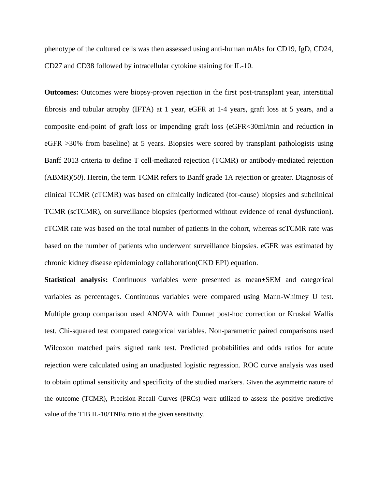phenotype of the cultured cells was then assessed using anti-human mAbs for CD19, IgD, CD24, CD27 and CD38 followed by intracellular cytokine staining for IL-10.

**Outcomes:** Outcomes were biopsy-proven rejection in the first post-transplant year, interstitial fibrosis and tubular atrophy (IFTA) at 1 year, eGFR at 1-4 years, graft loss at 5 years, and a composite end-point of graft loss or impending graft loss (eGFR<30ml/min and reduction in eGFR >30% from baseline) at 5 years. Biopsies were scored by transplant pathologists using Banff 2013 criteria to define T cell-mediated rejection (TCMR) or antibody-mediated rejection (ABMR)(*50*). Herein, the term TCMR refers to Banff grade 1A rejection or greater. Diagnosis of clinical TCMR (cTCMR) was based on clinically indicated (for-cause) biopsies and subclinical TCMR (scTCMR), on surveillance biopsies (performed without evidence of renal dysfunction). cTCMR rate was based on the total number of patients in the cohort, whereas scTCMR rate was based on the number of patients who underwent surveillance biopsies. eGFR was estimated by chronic kidney disease epidemiology collaboration(CKD EPI) equation.

**Statistical analysis:** Continuous variables were presented as mean±SEM and categorical variables as percentages. Continuous variables were compared using Mann-Whitney U test. Multiple group comparison used ANOVA with Dunnet post-hoc correction or Kruskal Wallis test. Chi-squared test compared categorical variables. Non-parametric paired comparisons used Wilcoxon matched pairs signed rank test. Predicted probabilities and odds ratios for acute rejection were calculated using an unadjusted logistic regression. ROC curve analysis was used to obtain optimal sensitivity and specificity of the studied markers. Given the asymmetric nature of the outcome (TCMR), Precision-Recall Curves (PRCs) were utilized to assess the positive predictive value of the T1B IL-10/TNF $\alpha$  ratio at the given sensitivity.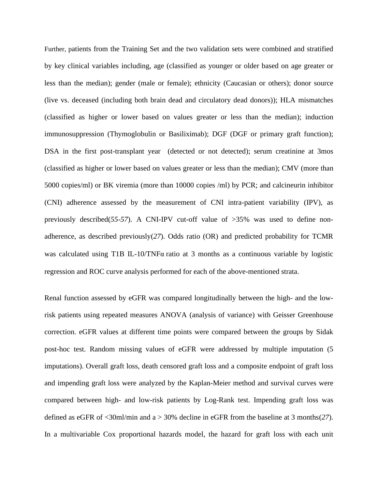Further, patients from the Training Set and the two validation sets were combined and stratified by key clinical variables including, age (classified as younger or older based on age greater or less than the median); gender (male or female); ethnicity (Caucasian or others); donor source (live vs. deceased (including both brain dead and circulatory dead donors)); HLA mismatches (classified as higher or lower based on values greater or less than the median); induction immunosuppression (Thymoglobulin or Basiliximab); DGF (DGF or primary graft function); DSA in the first post-transplant year (detected or not detected); serum creatinine at 3mos (classified as higher or lower based on values greater or less than the median); CMV (more than 5000 copies/ml) or BK viremia (more than 10000 copies /ml) by PCR; and calcineurin inhibitor (CNI) adherence assessed by the measurement of CNI intra-patient variability (IPV), as previously described(*55-57*). A CNI-IPV cut-off value of >35% was used to define nonadherence, as described previously(*27*). Odds ratio (OR) and predicted probability for TCMR was calculated using T1B IL-10/TNFα ratio at 3 months as a continuous variable by logistic regression and ROC curve analysis performed for each of the above-mentioned strata.

Renal function assessed by eGFR was compared longitudinally between the high- and the lowrisk patients using repeated measures ANOVA (analysis of variance) with Geisser Greenhouse correction. eGFR values at different time points were compared between the groups by Sidak post-hoc test. Random missing values of eGFR were addressed by multiple imputation (5 imputations). Overall graft loss, death censored graft loss and a composite endpoint of graft loss and impending graft loss were analyzed by the Kaplan-Meier method and survival curves were compared between high- and low-risk patients by Log-Rank test. Impending graft loss was defined as eGFR of <30ml/min and a > 30% decline in eGFR from the baseline at 3 months(*27*). In a multivariable Cox proportional hazards model, the hazard for graft loss with each unit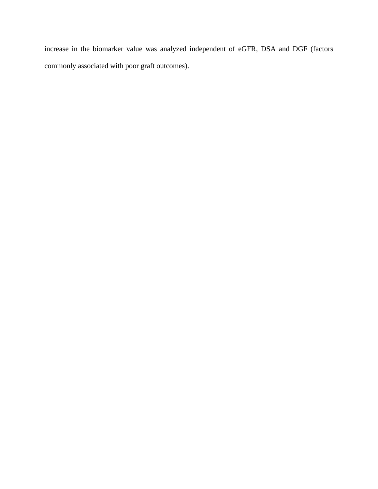increase in the biomarker value was analyzed independent of eGFR, DSA and DGF (factors commonly associated with poor graft outcomes).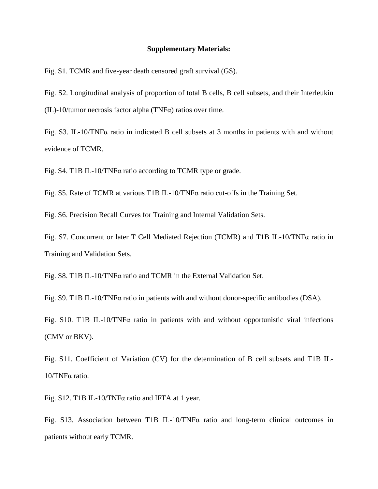#### **Supplementary Materials:**

Fig. S1. TCMR and five-year death censored graft survival (GS).

Fig. S2. Longitudinal analysis of proportion of total B cells, B cell subsets, and their Interleukin (IL)-10/tumor necrosis factor alpha (TNFα) ratios over time.

Fig. S3. IL-10/TNFα ratio in indicated B cell subsets at 3 months in patients with and without evidence of TCMR.

Fig. S4. T1B IL-10/TNFα ratio according to TCMR type or grade.

Fig. S5. Rate of TCMR at various T1B IL-10/TNFα ratio cut-offs in the Training Set.

Fig. S6. Precision Recall Curves for Training and Internal Validation Sets.

Fig. S7. Concurrent or later T Cell Mediated Rejection (TCMR) and T1B IL-10/TNFα ratio in Training and Validation Sets.

Fig. S8. T1B IL-10/TNFα ratio and TCMR in the External Validation Set.

Fig. S9. T1B IL-10/TNFα ratio in patients with and without donor-specific antibodies (DSA).

Fig. S10. T1B IL-10/TNFα ratio in patients with and without opportunistic viral infections (CMV or BKV).

Fig. S11. Coefficient of Variation (CV) for the determination of B cell subsets and T1B IL-10/TNFα ratio.

Fig. S12. T1B IL-10/TNFα ratio and IFTA at 1 year.

Fig. S13. Association between T1B IL-10/TNFα ratio and long-term clinical outcomes in patients without early TCMR.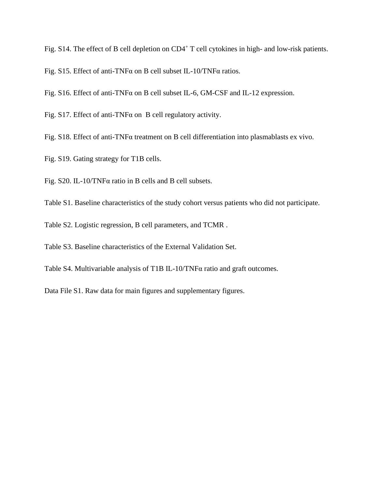Fig. S14. The effect of B cell depletion on CD4<sup>+</sup> T cell cytokines in high- and low-risk patients.

Fig. S15. Effect of anti-TNFα on B cell subset IL-10/TNFα ratios.

Fig. S16. Effect of anti-TNFα on B cell subset IL-6, GM-CSF and IL-12 expression.

Fig. S17. Effect of anti-TNF $\alpha$  on B cell regulatory activity.

Fig. S18. Effect of anti-TNFα treatment on B cell differentiation into plasmablasts ex vivo.

Fig. S19. Gating strategy for T1B cells.

Fig. S20. IL-10/TNFα ratio in B cells and B cell subsets.

Table S1. Baseline characteristics of the study cohort versus patients who did not participate.

Table S2. Logistic regression, B cell parameters, and TCMR .

Table S3. Baseline characteristics of the External Validation Set.

Table S4. Multivariable analysis of T1B IL-10/TNFα ratio and graft outcomes.

Data File S1. Raw data for main figures and supplementary figures.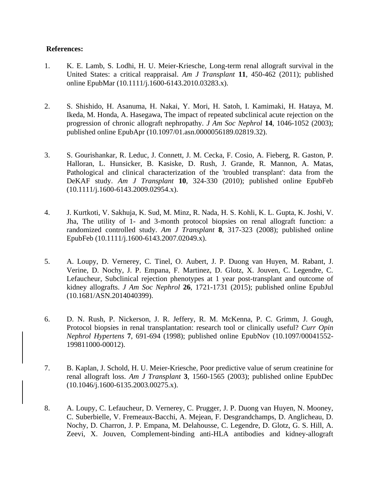# **References:**

- 1. K. E. Lamb, S. Lodhi, H. U. Meier-Kriesche, Long-term renal allograft survival in the United States: a critical reappraisal. *Am J Transplant* **11**, 450-462 (2011); published online EpubMar (10.1111/j.1600-6143.2010.03283.x).
- 2. S. Shishido, H. Asanuma, H. Nakai, Y. Mori, H. Satoh, I. Kamimaki, H. Hataya, M. Ikeda, M. Honda, A. Hasegawa, The impact of repeated subclinical acute rejection on the progression of chronic allograft nephropathy. *J Am Soc Nephrol* **14**, 1046-1052 (2003); published online EpubApr (10.1097/01.asn.0000056189.02819.32).
- 3. S. Gourishankar, R. Leduc, J. Connett, J. M. Cecka, F. Cosio, A. Fieberg, R. Gaston, P. Halloran, L. Hunsicker, B. Kasiske, D. Rush, J. Grande, R. Mannon, A. Matas, Pathological and clinical characterization of the 'troubled transplant': data from the DeKAF study. *Am J Transplant* **10**, 324-330 (2010); published online EpubFeb (10.1111/j.1600-6143.2009.02954.x).
- 4. J. Kurtkoti, V. Sakhuja, K. Sud, M. Minz, R. Nada, H. S. Kohli, K. L. Gupta, K. Joshi, V. Jha, The utility of 1- and 3-month protocol biopsies on renal allograft function: a randomized controlled study. *Am J Transplant* **8**, 317-323 (2008); published online EpubFeb (10.1111/j.1600-6143.2007.02049.x).
- 5. A. Loupy, D. Vernerey, C. Tinel, O. Aubert, J. P. Duong van Huyen, M. Rabant, J. Verine, D. Nochy, J. P. Empana, F. Martinez, D. Glotz, X. Jouven, C. Legendre, C. Lefaucheur, Subclinical rejection phenotypes at 1 year post-transplant and outcome of kidney allografts. *J Am Soc Nephrol* **26**, 1721-1731 (2015); published online EpubJul (10.1681/ASN.2014040399).
- 6. D. N. Rush, P. Nickerson, J. R. Jeffery, R. M. McKenna, P. C. Grimm, J. Gough, Protocol biopsies in renal transplantation: research tool or clinically useful? *Curr Opin Nephrol Hypertens* **7**, 691-694 (1998); published online EpubNov (10.1097/00041552- 199811000-00012).
- 7. B. Kaplan, J. Schold, H. U. Meier-Kriesche, Poor predictive value of serum creatinine for renal allograft loss. *Am J Transplant* **3**, 1560-1565 (2003); published online EpubDec (10.1046/j.1600-6135.2003.00275.x).
- 8. A. Loupy, C. Lefaucheur, D. Vernerey, C. Prugger, J. P. Duong van Huyen, N. Mooney, C. Suberbielle, V. Fremeaux-Bacchi, A. Mejean, F. Desgrandchamps, D. Anglicheau, D. Nochy, D. Charron, J. P. Empana, M. Delahousse, C. Legendre, D. Glotz, G. S. Hill, A. Zeevi, X. Jouven, Complement-binding anti-HLA antibodies and kidney-allograft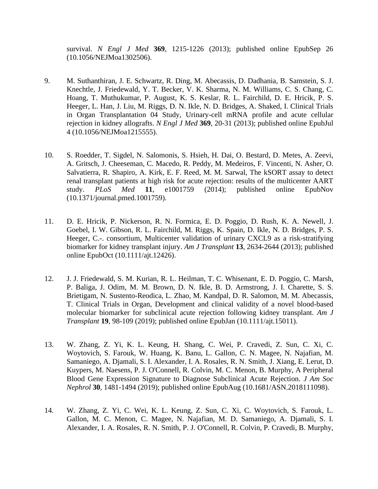survival. *N Engl J Med* **369**, 1215-1226 (2013); published online EpubSep 26 (10.1056/NEJMoa1302506).

- 9. M. Suthanthiran, J. E. Schwartz, R. Ding, M. Abecassis, D. Dadhania, B. Samstein, S. J. Knechtle, J. Friedewald, Y. T. Becker, V. K. Sharma, N. M. Williams, C. S. Chang, C. Hoang, T. Muthukumar, P. August, K. S. Keslar, R. L. Fairchild, D. E. Hricik, P. S. Heeger, L. Han, J. Liu, M. Riggs, D. N. Ikle, N. D. Bridges, A. Shaked, I. Clinical Trials in Organ Transplantation 04 Study, Urinary-cell mRNA profile and acute cellular rejection in kidney allografts. *N Engl J Med* **369**, 20-31 (2013); published online EpubJul 4 (10.1056/NEJMoa1215555).
- 10. S. Roedder, T. Sigdel, N. Salomonis, S. Hsieh, H. Dai, O. Bestard, D. Metes, A. Zeevi, A. Gritsch, J. Cheeseman, C. Macedo, R. Peddy, M. Medeiros, F. Vincenti, N. Asher, O. Salvatierra, R. Shapiro, A. Kirk, E. F. Reed, M. M. Sarwal, The kSORT assay to detect renal transplant patients at high risk for acute rejection: results of the multicenter AART study. *PLoS Med* **11**, e1001759 (2014); published online EpubNov (10.1371/journal.pmed.1001759).
- 11. D. E. Hricik, P. Nickerson, R. N. Formica, E. D. Poggio, D. Rush, K. A. Newell, J. Goebel, I. W. Gibson, R. L. Fairchild, M. Riggs, K. Spain, D. Ikle, N. D. Bridges, P. S. Heeger, C.-. consortium, Multicenter validation of urinary CXCL9 as a risk-stratifying biomarker for kidney transplant injury. *Am J Transplant* **13**, 2634-2644 (2013); published online EpubOct (10.1111/ajt.12426).
- 12. J. J. Friedewald, S. M. Kurian, R. L. Heilman, T. C. Whisenant, E. D. Poggio, C. Marsh, P. Baliga, J. Odim, M. M. Brown, D. N. Ikle, B. D. Armstrong, J. I. Charette, S. S. Brietigam, N. Sustento-Reodica, L. Zhao, M. Kandpal, D. R. Salomon, M. M. Abecassis, T. Clinical Trials in Organ, Development and clinical validity of a novel blood-based molecular biomarker for subclinical acute rejection following kidney transplant. *Am J Transplant* **19**, 98-109 (2019); published online EpubJan (10.1111/ajt.15011).
- 13. W. Zhang, Z. Yi, K. L. Keung, H. Shang, C. Wei, P. Cravedi, Z. Sun, C. Xi, C. Woytovich, S. Farouk, W. Huang, K. Banu, L. Gallon, C. N. Magee, N. Najafian, M. Samaniego, A. Djamali, S. I. Alexander, I. A. Rosales, R. N. Smith, J. Xiang, E. Lerut, D. Kuypers, M. Naesens, P. J. O'Connell, R. Colvin, M. C. Menon, B. Murphy, A Peripheral Blood Gene Expression Signature to Diagnose Subclinical Acute Rejection. *J Am Soc Nephrol* **30**, 1481-1494 (2019); published online EpubAug (10.1681/ASN.2018111098).
- 14. W. Zhang, Z. Yi, C. Wei, K. L. Keung, Z. Sun, C. Xi, C. Woytovich, S. Farouk, L. Gallon, M. C. Menon, C. Magee, N. Najafian, M. D. Samaniego, A. Djamali, S. I. Alexander, I. A. Rosales, R. N. Smith, P. J. O'Connell, R. Colvin, P. Cravedi, B. Murphy,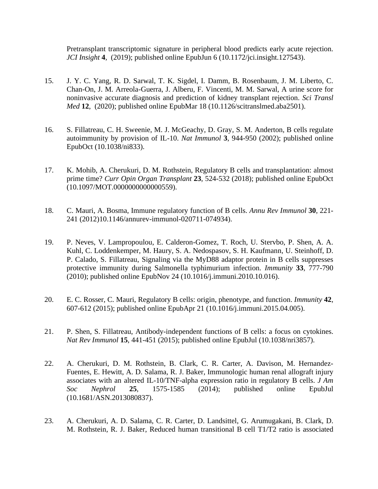Pretransplant transcriptomic signature in peripheral blood predicts early acute rejection. *JCI Insight* **4**, (2019); published online EpubJun 6 (10.1172/jci.insight.127543).

- 15. J. Y. C. Yang, R. D. Sarwal, T. K. Sigdel, I. Damm, B. Rosenbaum, J. M. Liberto, C. Chan-On, J. M. Arreola-Guerra, J. Alberu, F. Vincenti, M. M. Sarwal, A urine score for noninvasive accurate diagnosis and prediction of kidney transplant rejection. *Sci Transl Med* **12**, (2020); published online EpubMar 18 (10.1126/scitranslmed.aba2501).
- 16. S. Fillatreau, C. H. Sweenie, M. J. McGeachy, D. Gray, S. M. Anderton, B cells regulate autoimmunity by provision of IL-10. *Nat Immunol* **3**, 944-950 (2002); published online EpubOct (10.1038/ni833).
- 17. K. Mohib, A. Cherukuri, D. M. Rothstein, Regulatory B cells and transplantation: almost prime time? *Curr Opin Organ Transplant* **23**, 524-532 (2018); published online EpubOct (10.1097/MOT.0000000000000559).
- 18. C. Mauri, A. Bosma, Immune regulatory function of B cells. *Annu Rev Immunol* **30**, 221- 241 (2012)10.1146/annurev-immunol-020711-074934).
- 19. P. Neves, V. Lampropoulou, E. Calderon-Gomez, T. Roch, U. Stervbo, P. Shen, A. A. Kuhl, C. Loddenkemper, M. Haury, S. A. Nedospasov, S. H. Kaufmann, U. Steinhoff, D. P. Calado, S. Fillatreau, Signaling via the MyD88 adaptor protein in B cells suppresses protective immunity during Salmonella typhimurium infection. *Immunity* **33**, 777-790 (2010); published online EpubNov 24 (10.1016/j.immuni.2010.10.016).
- 20. E. C. Rosser, C. Mauri, Regulatory B cells: origin, phenotype, and function. *Immunity* **42**, 607-612 (2015); published online EpubApr 21 (10.1016/j.immuni.2015.04.005).
- 21. P. Shen, S. Fillatreau, Antibody-independent functions of B cells: a focus on cytokines. *Nat Rev Immunol* **15**, 441-451 (2015); published online EpubJul (10.1038/nri3857).
- 22. A. Cherukuri, D. M. Rothstein, B. Clark, C. R. Carter, A. Davison, M. Hernandez-Fuentes, E. Hewitt, A. D. Salama, R. J. Baker, Immunologic human renal allograft injury associates with an altered IL-10/TNF-alpha expression ratio in regulatory B cells. *J Am Soc Nephrol* **25**, 1575-1585 (2014); published online EpubJul (10.1681/ASN.2013080837).
- 23. A. Cherukuri, A. D. Salama, C. R. Carter, D. Landsittel, G. Arumugakani, B. Clark, D. M. Rothstein, R. J. Baker, Reduced human transitional B cell T1/T2 ratio is associated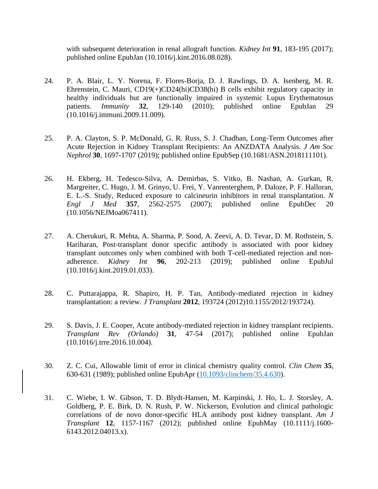with subsequent deterioration in renal allograft function. *Kidney Int* **91**, 183-195 (2017); published online EpubJan (10.1016/j.kint.2016.08.028).

- 24. P. A. Blair, L. Y. Norena, F. Flores-Borja, D. J. Rawlings, D. A. Isenberg, M. R. Ehrenstein, C. Mauri, CD19(+)CD24(hi)CD38(hi) B cells exhibit regulatory capacity in healthy individuals but are functionally impaired in systemic Lupus Erythematosus patients. *Immunity* **32**, 129-140 (2010); published online EpubJan 29 (10.1016/j.immuni.2009.11.009).
- 25. P. A. Clayton, S. P. McDonald, G. R. Russ, S. J. Chadban, Long-Term Outcomes after Acute Rejection in Kidney Transplant Recipients: An ANZDATA Analysis. *J Am Soc Nephrol* **30**, 1697-1707 (2019); published online EpubSep (10.1681/ASN.2018111101).
- 26. H. Ekberg, H. Tedesco-Silva, A. Demirbas, S. Vitko, B. Nashan, A. Gurkan, R. Margreiter, C. Hugo, J. M. Grinyo, U. Frei, Y. Vanrenterghem, P. Daloze, P. F. Halloran, E. L.-S. Study, Reduced exposure to calcineurin inhibitors in renal transplantation. *N Engl J Med* **357**, 2562-2575 (2007); published online EpubDec 20 (10.1056/NEJMoa067411).
- 27. A. Cherukuri, R. Mehta, A. Sharma, P. Sood, A. Zeevi, A. D. Tevar, D. M. Rothstein, S. Hariharan, Post-transplant donor specific antibody is associated with poor kidney transplant outcomes only when combined with both T-cell-mediated rejection and nonadherence. *Kidney Int* **96**, 202-213 (2019); published online EpubJul (10.1016/j.kint.2019.01.033).
- 28. C. Puttarajappa, R. Shapiro, H. P. Tan, Antibody-mediated rejection in kidney transplantation: a review. *J Transplant* **2012**, 193724 (2012)10.1155/2012/193724).
- 29. S. Davis, J. E. Cooper, Acute antibody-mediated rejection in kidney transplant recipients. *Transplant Rev (Orlando)* **31**, 47-54 (2017); published online EpubJan (10.1016/j.trre.2016.10.004).
- 30. Z. C. Cui, Allowable limit of error in clinical chemistry quality control. *Clin Chem* **35**, 630-631 (1989); published online EpubApr [\(10.1093/clinchem/35.4.630\)](https://doi.org/10.1093/clinchem/35.4.630).
- 31. C. Wiebe, I. W. Gibson, T. D. Blydt-Hansen, M. Karpinski, J. Ho, L. J. Storsley, A. Goldberg, P. E. Birk, D. N. Rush, P. W. Nickerson, Evolution and clinical pathologic correlations of de novo donor-specific HLA antibody post kidney transplant. *Am J Transplant* **12**, 1157-1167 (2012); published online EpubMay (10.1111/j.1600- 6143.2012.04013.x).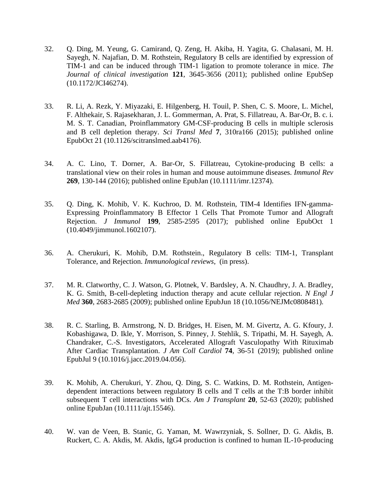- 32. Q. Ding, M. Yeung, G. Camirand, Q. Zeng, H. Akiba, H. Yagita, G. Chalasani, M. H. Sayegh, N. Najafian, D. M. Rothstein, Regulatory B cells are identified by expression of TIM-1 and can be induced through TIM-1 ligation to promote tolerance in mice. *The Journal of clinical investigation* **121**, 3645-3656 (2011); published online EpubSep (10.1172/JCI46274).
- 33. R. Li, A. Rezk, Y. Miyazaki, E. Hilgenberg, H. Touil, P. Shen, C. S. Moore, L. Michel, F. Althekair, S. Rajasekharan, J. L. Gommerman, A. Prat, S. Fillatreau, A. Bar-Or, B. c. i. M. S. T. Canadian, Proinflammatory GM-CSF-producing B cells in multiple sclerosis and B cell depletion therapy. *Sci Transl Med* **7**, 310ra166 (2015); published online EpubOct 21 (10.1126/scitranslmed.aab4176).
- 34. A. C. Lino, T. Dorner, A. Bar-Or, S. Fillatreau, Cytokine-producing B cells: a translational view on their roles in human and mouse autoimmune diseases. *Immunol Rev* **269**, 130-144 (2016); published online EpubJan (10.1111/imr.12374).
- 35. Q. Ding, K. Mohib, V. K. Kuchroo, D. M. Rothstein, TIM-4 Identifies IFN-gamma-Expressing Proinflammatory B Effector 1 Cells That Promote Tumor and Allograft Rejection. *J Immunol* **199**, 2585-2595 (2017); published online EpubOct 1 (10.4049/jimmunol.1602107).
- 36. A. Cherukuri, K. Mohib, D.M. Rothstein., Regulatory B cells: TIM-1, Transplant Tolerance, and Rejection. *Immunological reviews*, (in press).
- 37. M. R. Clatworthy, C. J. Watson, G. Plotnek, V. Bardsley, A. N. Chaudhry, J. A. Bradley, K. G. Smith, B-cell-depleting induction therapy and acute cellular rejection. *N Engl J Med* **360**, 2683-2685 (2009); published online EpubJun 18 (10.1056/NEJMc0808481).
- 38. R. C. Starling, B. Armstrong, N. D. Bridges, H. Eisen, M. M. Givertz, A. G. Kfoury, J. Kobashigawa, D. Ikle, Y. Morrison, S. Pinney, J. Stehlik, S. Tripathi, M. H. Sayegh, A. Chandraker, C.-S. Investigators, Accelerated Allograft Vasculopathy With Rituximab After Cardiac Transplantation. *J Am Coll Cardiol* **74**, 36-51 (2019); published online EpubJul 9 (10.1016/j.jacc.2019.04.056).
- 39. K. Mohib, A. Cherukuri, Y. Zhou, Q. Ding, S. C. Watkins, D. M. Rothstein, Antigendependent interactions between regulatory B cells and T cells at the T:B border inhibit subsequent T cell interactions with DCs. *Am J Transplant* **20**, 52-63 (2020); published online EpubJan (10.1111/ajt.15546).
- 40. W. van de Veen, B. Stanic, G. Yaman, M. Wawrzyniak, S. Sollner, D. G. Akdis, B. Ruckert, C. A. Akdis, M. Akdis, IgG4 production is confined to human IL-10-producing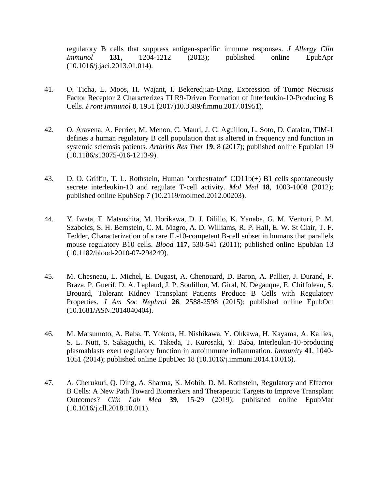regulatory B cells that suppress antigen-specific immune responses. *J Allergy Clin Immunol* **131**, 1204-1212 (2013); published online EpubApr (10.1016/j.jaci.2013.01.014).

- 41. O. Ticha, L. Moos, H. Wajant, I. Bekeredjian-Ding, Expression of Tumor Necrosis Factor Receptor 2 Characterizes TLR9-Driven Formation of Interleukin-10-Producing B Cells. *Front Immunol* **8**, 1951 (2017)10.3389/fimmu.2017.01951).
- 42. O. Aravena, A. Ferrier, M. Menon, C. Mauri, J. C. Aguillon, L. Soto, D. Catalan, TIM-1 defines a human regulatory B cell population that is altered in frequency and function in systemic sclerosis patients. *Arthritis Res Ther* **19**, 8 (2017); published online EpubJan 19 (10.1186/s13075-016-1213-9).
- 43. D. O. Griffin, T. L. Rothstein, Human "orchestrator" CD11b(+) B1 cells spontaneously secrete interleukin-10 and regulate T-cell activity. *Mol Med* **18**, 1003-1008 (2012); published online EpubSep 7 (10.2119/molmed.2012.00203).
- 44. Y. Iwata, T. Matsushita, M. Horikawa, D. J. Dilillo, K. Yanaba, G. M. Venturi, P. M. Szabolcs, S. H. Bernstein, C. M. Magro, A. D. Williams, R. P. Hall, E. W. St Clair, T. F. Tedder, Characterization of a rare IL-10-competent B-cell subset in humans that parallels mouse regulatory B10 cells. *Blood* **117**, 530-541 (2011); published online EpubJan 13 (10.1182/blood-2010-07-294249).
- 45. M. Chesneau, L. Michel, E. Dugast, A. Chenouard, D. Baron, A. Pallier, J. Durand, F. Braza, P. Guerif, D. A. Laplaud, J. P. Soulillou, M. Giral, N. Degauque, E. Chiffoleau, S. Brouard, Tolerant Kidney Transplant Patients Produce B Cells with Regulatory Properties. *J Am Soc Nephrol* **26**, 2588-2598 (2015); published online EpubOct (10.1681/ASN.2014040404).
- 46. M. Matsumoto, A. Baba, T. Yokota, H. Nishikawa, Y. Ohkawa, H. Kayama, A. Kallies, S. L. Nutt, S. Sakaguchi, K. Takeda, T. Kurosaki, Y. Baba, Interleukin-10-producing plasmablasts exert regulatory function in autoimmune inflammation. *Immunity* **41**, 1040- 1051 (2014); published online EpubDec 18 (10.1016/j.immuni.2014.10.016).
- 47. A. Cherukuri, Q. Ding, A. Sharma, K. Mohib, D. M. Rothstein, Regulatory and Effector B Cells: A New Path Toward Biomarkers and Therapeutic Targets to Improve Transplant Outcomes? *Clin Lab Med* **39**, 15-29 (2019); published online EpubMar (10.1016/j.cll.2018.10.011).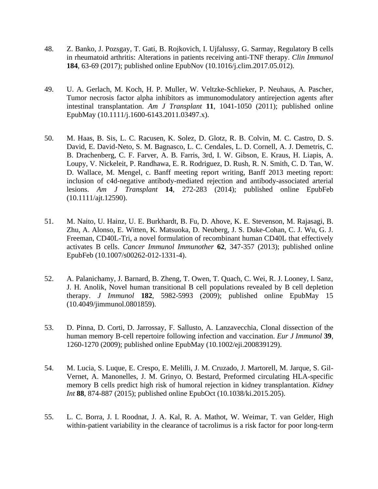- 48. Z. Banko, J. Pozsgay, T. Gati, B. Rojkovich, I. Ujfalussy, G. Sarmay, Regulatory B cells in rheumatoid arthritis: Alterations in patients receiving anti-TNF therapy. *Clin Immunol* **184**, 63-69 (2017); published online EpubNov (10.1016/j.clim.2017.05.012).
- 49. U. A. Gerlach, M. Koch, H. P. Muller, W. Veltzke-Schlieker, P. Neuhaus, A. Pascher, Tumor necrosis factor alpha inhibitors as immunomodulatory antirejection agents after intestinal transplantation. *Am J Transplant* **11**, 1041-1050 (2011); published online EpubMay (10.1111/j.1600-6143.2011.03497.x).
- 50. M. Haas, B. Sis, L. C. Racusen, K. Solez, D. Glotz, R. B. Colvin, M. C. Castro, D. S. David, E. David-Neto, S. M. Bagnasco, L. C. Cendales, L. D. Cornell, A. J. Demetris, C. B. Drachenberg, C. F. Farver, A. B. Farris, 3rd, I. W. Gibson, E. Kraus, H. Liapis, A. Loupy, V. Nickeleit, P. Randhawa, E. R. Rodriguez, D. Rush, R. N. Smith, C. D. Tan, W. D. Wallace, M. Mengel, c. Banff meeting report writing, Banff 2013 meeting report: inclusion of c4d-negative antibody-mediated rejection and antibody-associated arterial lesions. *Am J Transplant* **14**, 272-283 (2014); published online EpubFeb (10.1111/ajt.12590).
- 51. M. Naito, U. Hainz, U. E. Burkhardt, B. Fu, D. Ahove, K. E. Stevenson, M. Rajasagi, B. Zhu, A. Alonso, E. Witten, K. Matsuoka, D. Neuberg, J. S. Duke-Cohan, C. J. Wu, G. J. Freeman, CD40L-Tri, a novel formulation of recombinant human CD40L that effectively activates B cells. *Cancer Immunol Immunother* **62**, 347-357 (2013); published online EpubFeb (10.1007/s00262-012-1331-4).
- 52. A. Palanichamy, J. Barnard, B. Zheng, T. Owen, T. Quach, C. Wei, R. J. Looney, I. Sanz, J. H. Anolik, Novel human transitional B cell populations revealed by B cell depletion therapy. *J Immunol* **182**, 5982-5993 (2009); published online EpubMay 15 (10.4049/jimmunol.0801859).
- 53. D. Pinna, D. Corti, D. Jarrossay, F. Sallusto, A. Lanzavecchia, Clonal dissection of the human memory B-cell repertoire following infection and vaccination. *Eur J Immunol* **39**, 1260-1270 (2009); published online EpubMay (10.1002/eji.200839129).
- 54. M. Lucia, S. Luque, E. Crespo, E. Melilli, J. M. Cruzado, J. Martorell, M. Jarque, S. Gil-Vernet, A. Manonelles, J. M. Grinyo, O. Bestard, Preformed circulating HLA-specific memory B cells predict high risk of humoral rejection in kidney transplantation. *Kidney Int* **88**, 874-887 (2015); published online EpubOct (10.1038/ki.2015.205).
- 55. L. C. Borra, J. I. Roodnat, J. A. Kal, R. A. Mathot, W. Weimar, T. van Gelder, High within-patient variability in the clearance of tacrolimus is a risk factor for poor long-term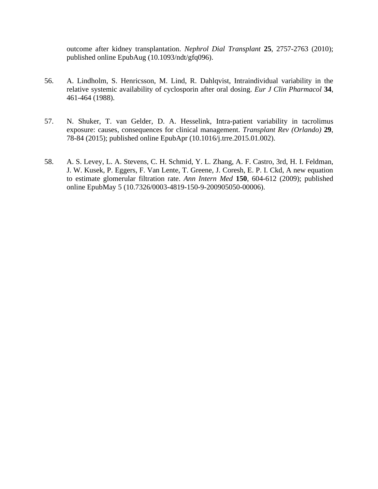outcome after kidney transplantation. *Nephrol Dial Transplant* **25**, 2757-2763 (2010); published online EpubAug (10.1093/ndt/gfq096).

- 56. A. Lindholm, S. Henricsson, M. Lind, R. Dahlqvist, Intraindividual variability in the relative systemic availability of cyclosporin after oral dosing. *Eur J Clin Pharmacol* **34**, 461-464 (1988).
- 57. N. Shuker, T. van Gelder, D. A. Hesselink, Intra-patient variability in tacrolimus exposure: causes, consequences for clinical management. *Transplant Rev (Orlando)* **29**, 78-84 (2015); published online EpubApr (10.1016/j.trre.2015.01.002).
- 58. A. S. Levey, L. A. Stevens, C. H. Schmid, Y. L. Zhang, A. F. Castro, 3rd, H. I. Feldman, J. W. Kusek, P. Eggers, F. Van Lente, T. Greene, J. Coresh, E. P. I. Ckd, A new equation to estimate glomerular filtration rate. *Ann Intern Med* **150**, 604-612 (2009); published online EpubMay 5 (10.7326/0003-4819-150-9-200905050-00006).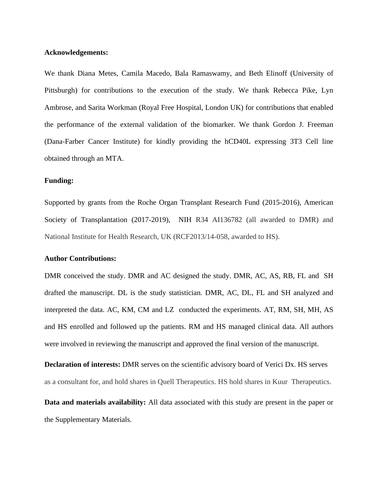#### **Acknowledgements:**

We thank Diana Metes, Camila Macedo, Bala Ramaswamy, and Beth Elinoff (University of Pittsburgh) for contributions to the execution of the study. We thank Rebecca Pike, Lyn Ambrose, and Sarita Workman (Royal Free Hospital, London UK) for contributions that enabled the performance of the external validation of the biomarker. We thank Gordon J. Freeman (Dana-Farber Cancer Institute) for kindly providing the hCD40L expressing 3T3 Cell line obtained through an MTA.

#### **Funding:**

Supported by grants from the Roche Organ Transplant Research Fund (2015-2016), American Society of Transplantation (2017-2019), NIH R34 AI136782 (all awarded to DMR) and National Institute for Health Research, UK (RCF2013/14-058, awarded to HS).

#### **Author Contributions:**

DMR conceived the study. DMR and AC designed the study. DMR, AC, AS, RB, FL and SH drafted the manuscript. DL is the study statistician. DMR, AC, DL, FL and SH analyzed and interpreted the data. AC, KM, CM and LZ conducted the experiments. AT, RM, SH, MH, AS and HS enrolled and followed up the patients. RM and HS managed clinical data. All authors were involved in reviewing the manuscript and approved the final version of the manuscript.

**Declaration of interests:** DMR serves on the scientific advisory board of Verici Dx. HS serves as a consultant for, and hold shares in Quell Therapeutics. HS hold shares in Kuur Therapeutics.

**Data and materials availability:** All data associated with this study are present in the paper or the Supplementary Materials.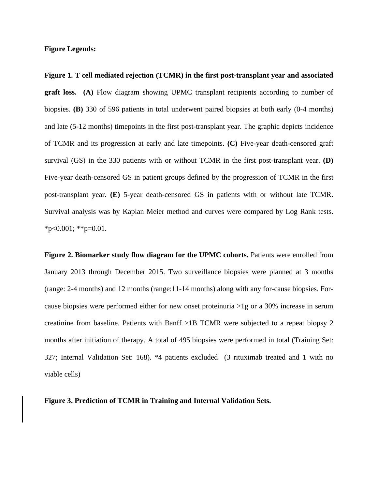#### **Figure Legends:**

**Figure 1. T cell mediated rejection (TCMR) in the first post-transplant year and associated graft loss. (A)** Flow diagram showing UPMC transplant recipients according to number of biopsies. **(B)** 330 of 596 patients in total underwent paired biopsies at both early (0-4 months) and late (5-12 months) timepoints in the first post-transplant year. The graphic depicts incidence of TCMR and its progression at early and late timepoints. **(C)** Five-year death-censored graft survival (GS) in the 330 patients with or without TCMR in the first post-transplant year. **(D)** Five-year death-censored GS in patient groups defined by the progression of TCMR in the first post-transplant year. **(E)** 5-year death-censored GS in patients with or without late TCMR. Survival analysis was by Kaplan Meier method and curves were compared by Log Rank tests.  $*p<0.001$ ;  $*p=0.01$ .

**Figure 2. Biomarker study flow diagram for the UPMC cohorts.** Patients were enrolled from January 2013 through December 2015. Two surveillance biopsies were planned at 3 months (range: 2-4 months) and 12 months (range:11-14 months) along with any for-cause biopsies. Forcause biopsies were performed either for new onset proteinuria >1g or a 30% increase in serum creatinine from baseline. Patients with Banff >1B TCMR were subjected to a repeat biopsy 2 months after initiation of therapy. A total of 495 biopsies were performed in total (Training Set: 327; Internal Validation Set: 168). \*4 patients excluded (3 rituximab treated and 1 with no viable cells)

**Figure 3. Prediction of TCMR in Training and Internal Validation Sets.**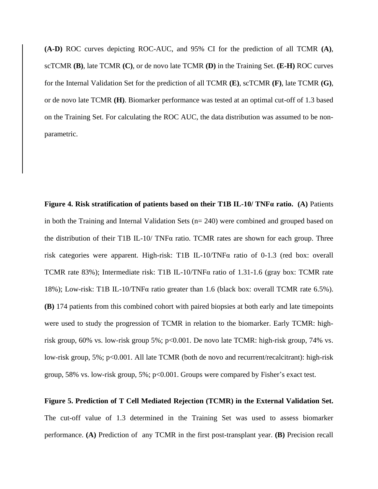**(A-D)** ROC curves depicting ROC-AUC, and 95% CI for the prediction of all TCMR **(A)**, scTCMR **(B)**, late TCMR **(C)**, or de novo late TCMR **(D)** in the Training Set. **(E-H)** ROC curves for the Internal Validation Set for the prediction of all TCMR **(E)**, scTCMR **(F)**, late TCMR **(G)**, or de novo late TCMR **(H)**. Biomarker performance was tested at an optimal cut-off of 1.3 based on the Training Set. For calculating the ROC AUC, the data distribution was assumed to be nonparametric.

**Figure 4. Risk stratification of patients based on their T1B IL-10/ TNFα ratio. (A)** Patients in both the Training and Internal Validation Sets (n= 240) were combined and grouped based on the distribution of their T1B IL-10/ TNF $\alpha$  ratio. TCMR rates are shown for each group. Three risk categories were apparent. High-risk: T1B IL-10/TNFα ratio of 0-1.3 (red box: overall TCMR rate 83%); Intermediate risk: T1B IL-10/TNFα ratio of 1.31-1.6 (gray box: TCMR rate 18%); Low-risk: T1B IL-10/TNFα ratio greater than 1.6 (black box: overall TCMR rate 6.5%). **(B)** 174 patients from this combined cohort with paired biopsies at both early and late timepoints were used to study the progression of TCMR in relation to the biomarker. Early TCMR: highrisk group, 60% vs. low-risk group 5%; p<0.001. De novo late TCMR: high-risk group, 74% vs. low-risk group, 5%; p<0.001. All late TCMR (both de novo and recurrent/recalcitrant): high-risk group, 58% vs. low-risk group, 5%; p<0.001. Groups were compared by Fisher's exact test.

# **Figure 5. Prediction of T Cell Mediated Rejection (TCMR) in the External Validation Set.**  The cut-off value of 1.3 determined in the Training Set was used to assess biomarker performance. **(A)** Prediction of any TCMR in the first post-transplant year. **(B)** Precision recall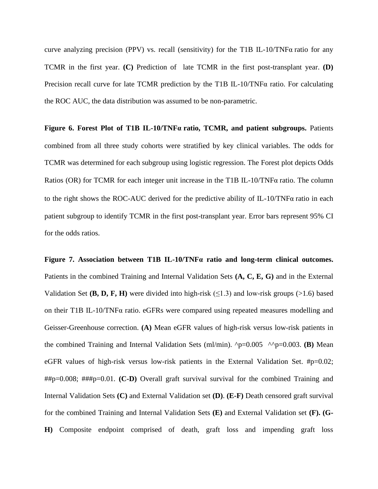curve analyzing precision (PPV) vs. recall (sensitivity) for the T1B IL-10/TNFα ratio for any TCMR in the first year. **(C)** Prediction of late TCMR in the first post-transplant year. **(D)** Precision recall curve for late TCMR prediction by the T1B IL-10/TNFα ratio. For calculating the ROC AUC, the data distribution was assumed to be non-parametric.

**Figure 6. Forest Plot of T1B IL-10/TNFα ratio, TCMR, and patient subgroups.** Patients combined from all three study cohorts were stratified by key clinical variables. The odds for TCMR was determined for each subgroup using logistic regression. The Forest plot depicts Odds Ratios (OR) for TCMR for each integer unit increase in the T1B IL-10/TNFα ratio. The column to the right shows the ROC-AUC derived for the predictive ability of IL-10/TNF $\alpha$  ratio in each patient subgroup to identify TCMR in the first post-transplant year. Error bars represent 95% CI for the odds ratios.

**Figure 7. Association between T1B IL-10/TNFα ratio and long-term clinical outcomes.**  Patients in the combined Training and Internal Validation Sets **(A, C, E, G)** and in the External Validation Set **(B, D, F, H)** were divided into high-risk  $(\leq 1.3)$  and low-risk groups (>1.6) based on their T1B IL-10/TNFα ratio. eGFRs were compared using repeated measures modelling and Geisser-Greenhouse correction. **(A)** Mean eGFR values of high-risk versus low-risk patients in the combined Training and Internal Validation Sets (ml/min).  $\gamma p=0.005$   $\land \gamma p=0.003$ . **(B)** Mean eGFR values of high-risk versus low-risk patients in the External Validation Set.  $\#p=0.02$ ; ##p=0.008; ###p=0.01. **(C-D)** Overall graft survival survival for the combined Training and Internal Validation Sets **(C)** and External Validation set **(D)**. **(E-F)** Death censored graft survival for the combined Training and Internal Validation Sets **(E)** and External Validation set **(F). (G-H)** Composite endpoint comprised of death, graft loss and impending graft loss